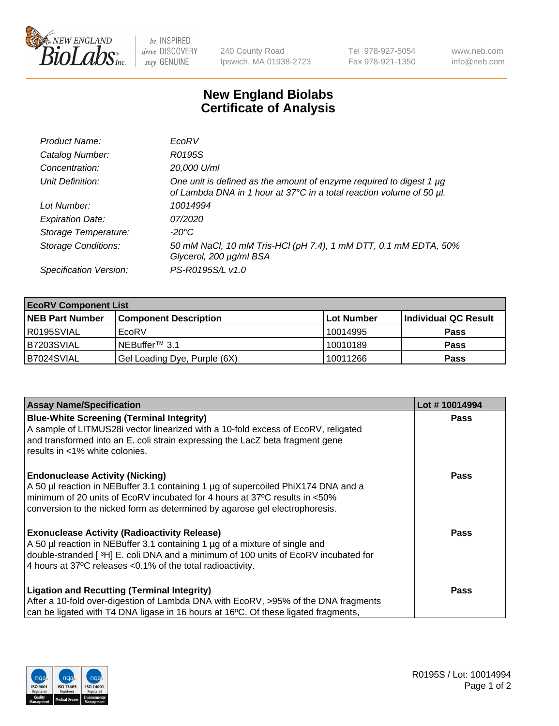

be INSPIRED drive DISCOVERY stay GENUINE

240 County Road Ipswich, MA 01938-2723 Tel 978-927-5054 Fax 978-921-1350 www.neb.com info@neb.com

## **New England Biolabs Certificate of Analysis**

| Product Name:              | EcoRV                                                                                                                                       |
|----------------------------|---------------------------------------------------------------------------------------------------------------------------------------------|
| Catalog Number:            | R0195S                                                                                                                                      |
| Concentration:             | 20,000 U/ml                                                                                                                                 |
| Unit Definition:           | One unit is defined as the amount of enzyme required to digest 1 µg<br>of Lambda DNA in 1 hour at 37°C in a total reaction volume of 50 µl. |
| Lot Number:                | 10014994                                                                                                                                    |
| <b>Expiration Date:</b>    | 07/2020                                                                                                                                     |
| Storage Temperature:       | $-20^{\circ}$ C                                                                                                                             |
| <b>Storage Conditions:</b> | 50 mM NaCl, 10 mM Tris-HCl (pH 7.4), 1 mM DTT, 0.1 mM EDTA, 50%<br>Glycerol, 200 µg/ml BSA                                                  |
| Specification Version:     | PS-R0195S/L v1.0                                                                                                                            |

| <b>EcoRV Component List</b> |                              |                   |                      |  |  |
|-----------------------------|------------------------------|-------------------|----------------------|--|--|
| <b>NEB Part Number</b>      | <b>Component Description</b> | <b>Lot Number</b> | Individual QC Result |  |  |
| I R0195SVIAL                | EcoRV                        | 10014995          | <b>Pass</b>          |  |  |
| B7203SVIAL                  | INEBuffer™ 3.1               | 10010189          | <b>Pass</b>          |  |  |
| B7024SVIAL                  | Gel Loading Dye, Purple (6X) | 10011266          | <b>Pass</b>          |  |  |

| <b>Assay Name/Specification</b>                                                                                                                                 | Lot #10014994 |
|-----------------------------------------------------------------------------------------------------------------------------------------------------------------|---------------|
| <b>Blue-White Screening (Terminal Integrity)</b><br>A sample of LITMUS28i vector linearized with a 10-fold excess of EcoRV, religated                           | <b>Pass</b>   |
| and transformed into an E. coli strain expressing the LacZ beta fragment gene<br>results in <1% white colonies.                                                 |               |
| <b>Endonuclease Activity (Nicking)</b>                                                                                                                          | <b>Pass</b>   |
| A 50 µl reaction in NEBuffer 3.1 containing 1 µg of supercoiled PhiX174 DNA and a<br>minimum of 20 units of EcoRV incubated for 4 hours at 37°C results in <50% |               |
| conversion to the nicked form as determined by agarose gel electrophoresis.                                                                                     |               |
| <b>Exonuclease Activity (Radioactivity Release)</b>                                                                                                             | Pass          |
| A 50 µl reaction in NEBuffer 3.1 containing 1 µg of a mixture of single and                                                                                     |               |
| double-stranded [ <sup>3</sup> H] E. coli DNA and a minimum of 100 units of EcoRV incubated for<br>4 hours at 37°C releases <0.1% of the total radioactivity.   |               |
|                                                                                                                                                                 |               |
| <b>Ligation and Recutting (Terminal Integrity)</b>                                                                                                              | Pass          |
| After a 10-fold over-digestion of Lambda DNA with EcoRV, >95% of the DNA fragments                                                                              |               |
| can be ligated with T4 DNA ligase in 16 hours at 16°C. Of these ligated fragments,                                                                              |               |